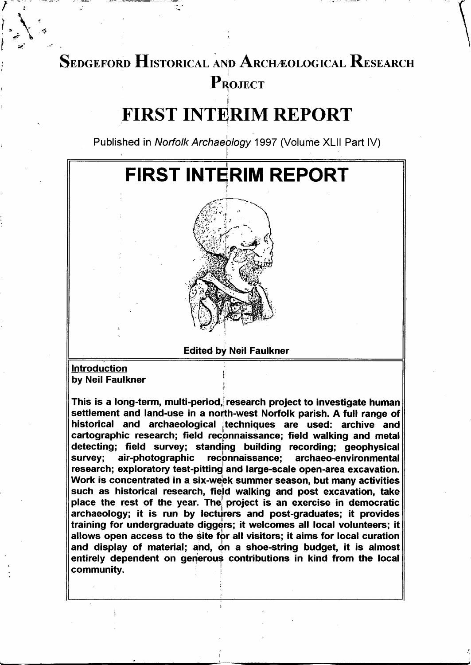# SEDGEFORD HISTORICAL AND ARCHÆOLOGICAL RESEARCH  ${\bf P}_{\bf ROJEC}$

 $\widetilde{\cdot}$ 

- ..--- "-:,.=\_.~

 $\setminus$ 

*f~*

# FIRST INTERIM REPORT

:'

Published in *Norfolk Archaeblogy* 1997 (Volume XLII Part IV)



<u>Introduction</u> by Neil Faulkner

 $\sum_{i=1}^{n}$ 

 $\sum_{i=1}^k$ 

°°' \ عمر<sup>∙</sup>  $\sim$   $-$ 

 $\mathscr{L}=\mathscr{L}$ 

f

This is a long-term, multi-period, research project to investigate human settlement and land-use in a north-west Norfolk parish. A full range of historical and archaeological techniques are used: archive and cartographic research; field reconnaissance; field walking and metal detecting; field survey; standing building recording; geophysical survey; air-photographic reconnaissance; archaeo-environmental research; exploratory test-pitting and large-scale open-area excavation. Work is concentrated in a six-week summer season, but many activities such as historical research, field walking and post excavation, take place the rest of the year. The project is an exercise in democratic archaeology; it is run by lecturers and post-graduates; it provides training for undergraduate diggers; it welcomes all local volunteers; it allows open access to the site for all visitors; it aims for local curation and display of material; and, on a shoe-string budget, it is almost entirely dependent on generous contributions in kind from the local community.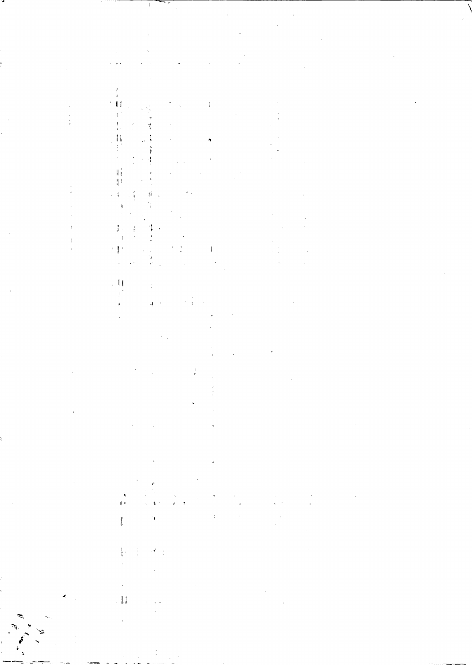

 $\overline{+}$ 

 $\sim$   $\alpha$ 

÷.

 $\frac{1}{4}$ 

 $\bar{1}$ 

 $\bar{+}$ 

 $\bar{\tau}$ 

 $\bar{4}$ 

 $\bar{\mathcal{A}}$ 



 $\begin{aligned} \mathcal{L} \left( \prod_{i=1}^n \mathbf{1}_{\{i\}} \mathbf{1}_{\{i\}} \mathbf{1}_{\{i\}} \mathbf{1}_{\{i\}} \mathbf{1}_{\{i\}} \mathbf{1}_{\{i\}} \mathbf{1}_{\{i\}} \mathbf{1}_{\{i\}} \mathbf{1}_{\{i\}} \mathbf{1}_{\{i\}} \mathbf{1}_{\{i\}} \mathbf{1}_{\{i\}} \mathbf{1}_{\{i\}} \mathbf{1}_{\{i\}} \mathbf{1}_{\{i\}} \mathbf{1}_{\{i\}} \mathbf{1}_{\{i\}} \mathbf{1}_{\{i\$  $\mathcal{L}^{\text{max}}_{\text{max}}$  $\hat{\vec{p}}$  $\hat{\mathcal{A}}$ 

 $\mathcal{H}(\mathcal{G})$  $\mathcal{L}_{\mathcal{L}}$  $\label{eq:2.1} \frac{1}{\sqrt{2}}\sum_{i=1}^n\frac{1}{\sqrt{2}}\sum_{i=1}^n\frac{1}{\sqrt{2}}\sum_{i=1}^n\frac{1}{\sqrt{2}}\sum_{i=1}^n\frac{1}{\sqrt{2}}\sum_{i=1}^n\frac{1}{\sqrt{2}}\sum_{i=1}^n\frac{1}{\sqrt{2}}\sum_{i=1}^n\frac{1}{\sqrt{2}}\sum_{i=1}^n\frac{1}{\sqrt{2}}\sum_{i=1}^n\frac{1}{\sqrt{2}}\sum_{i=1}^n\frac{1}{\sqrt{2}}\sum_{i=1}^n\frac$  $\frac{1}{\nu}$  $\frac{1}{2}$  $\frac{1}{2}$ Ń

 $\mathcal{L}^{\text{max}}_{\text{max}}$  ,  $\mathcal{L}^{\text{max}}_{\text{max}}$  , and  $\bar{q}$  $\sim 10^{-5}$  $\bar{A}$  $\label{eq:2} \frac{1}{\sqrt{2}}\left(\frac{1}{\sqrt{2}}\right)^{2} \frac{1}{\sqrt{2}}\left(\frac{1}{\sqrt{2}}\right)^{2}$  $\label{eq:2} \frac{1}{\sqrt{2}}\left(\frac{1}{\sqrt{2}}\right)^{2} \left(\frac{1}{\sqrt{2}}\right)^{2} \left(\frac{1}{\sqrt{2}}\right)^{2}$ 

 $\begin{aligned} \mathbf{A}^{(1)} &= \mathbf{A}^{(1)} \mathbf{A}^{(1)} \mathbf{A}^{(2)} \mathbf{A}^{(3)} \mathbf{A}^{(4)} \mathbf{A}^{(5)} \mathbf{A}^{(6)} \mathbf{A}^{(6)} \mathbf{A}^{(6)} \mathbf{A}^{(6)} \mathbf{A}^{(6)} \mathbf{A}^{(6)} \mathbf{A}^{(6)} \mathbf{A}^{(6)} \mathbf{A}^{(6)} \mathbf{A}^{(6)} \mathbf{A}^{(6)} \mathbf{A}^{(6)} \mathbf{A}^{(6)} \mathbf{A}^{(6)} \mathbf{$  $\mathfrak{g}^{\mathfrak{a}}$  :  $\label{eq:R1} \mathbf{Q}(\mathbf{X},\mathbf{Y}) = \mathbf{Q}(\mathbf{X},\mathbf{Y}) + \mathbf{Q}(\mathbf{X},\mathbf{Y}) + \mathbf{Q}(\mathbf{X},\mathbf{Y}) + \mathbf{Q}(\mathbf{X},\mathbf{Y})$  $\mathbf{I}$  $\frac{1}{4}$  .  $\mathcal{A}=\mathcal{A}$  ,  $\sim$  $\label{eq:2.1} \begin{split} \mathcal{L}_{\text{max}}(\mathcal{L}_{\text{max}}) = \mathcal{L}_{\text{max}}(\mathcal{L}_{\text{max}}) \,, \end{split}$  $\hat{\mathbf{r}}$ 

 $\mathcal{A}^{\pm}$ 

 $\sim 10^{11}$ 

 $\label{eq:2} \begin{split} \frac{1}{\sqrt{2}}\frac{1}{\sqrt{2}}\frac{1}{\sqrt{2}}\frac{1}{\sqrt{2}}\frac{1}{\sqrt{2}}\frac{1}{\sqrt{2}}\frac{1}{\sqrt{2}}\frac{1}{\sqrt{2}}\frac{1}{\sqrt{2}}\frac{1}{\sqrt{2}}\frac{1}{\sqrt{2}}\frac{1}{\sqrt{2}}\frac{1}{\sqrt{2}}\frac{1}{\sqrt{2}}\frac{1}{\sqrt{2}}\frac{1}{\sqrt{2}}\frac{1}{\sqrt{2}}\frac{1}{\sqrt{2}}\frac{1}{\sqrt{2}}\frac{1}{\sqrt{2}}\frac{1}{\sqrt{$ 

 $\hat{\mathcal{L}}$ 

 $\sim$   $\sim$ 

 $\mathcal{L}^{\text{max}}_{\text{max}}$ 

 $\sim$ 

 $\sim 10^{-1}$ 

,  $\mathbb{I}$  $\hat{\mathcal{L}}$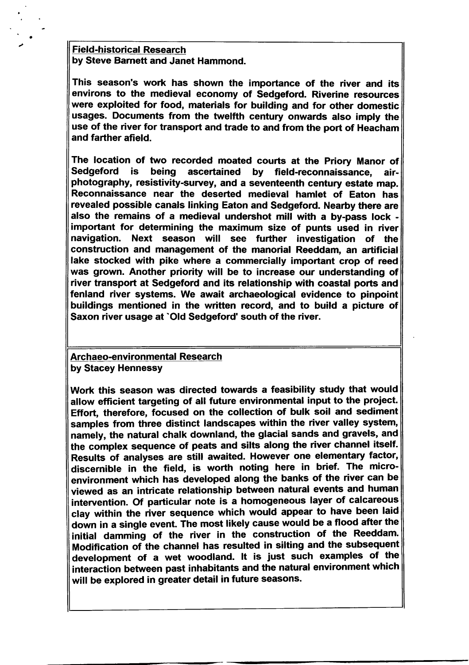Field-historical Research by Steve Barnett and Janet Hammond.

,; •

> This season's work has shown the importance of the river and its environs to the medieval economy of Sedgeford. Riverine resources were exploited for food, materials for building and for other domestic usages. Documents from the twelfth century onwards also imply the use of the river for transport and trade to and from the port of Heacham and farther afield.

> The location of two recorded moated courts at the Priory Manor of Sedgeford is being ascertained by field-reconnaissance, airphotography, resistivity-survey, and a seventeenth century estate map. Reconnaissance near the deserted medieval hamlet of Eaton has revealed possible canals linking Eaton and Sedgeford. Nearby there are also the remains of a medieval undershot mill with a by-pass lock important for determining the maximum size of punts used in river navigation. Next season will see further investigation of the construction and management of the manorial Reeddam, an artificial lake stocked with pike where a commercially important crop of reed was grown. Another priority will be to increase our understanding of river transport at Sedgeford and its relationship with coastal ports and fenland river systems. We await archaeological evidence to pinpoint buildings mentioned in the written record, and to build a picture of Saxon river usage at 'Old Sedgeford' south of the river.

#### Archaeo-environmental Research by Stacey Hennessy

Work this season was directed towards a feasibility study that would allow efficient targeting of all future environmental input to the project. Effort, therefore, focused on the collection of bulk soil and sediment samples from three distinct landscapes within the river valley system, namely, the natural chalk downland, the glacial sands and gravels, and the complex sequence of peats and silts along the river channel itself. Results of analyses are still awaited. However one elementary factor, discernible in the field, is worth noting here in brief. The microenvironment which has developed along the banks of the river can be viewed as an intricate relationship between natural events and human intervention. Of particular note is a homogeneous layer of calcareous clay within the river sequence which would appear to have been laid down in a single event. The most likely cause would be a flood after the initial damming of the river in the construction of the Reeddam. Modification of the channel has resulted in silting and the subsequent development of a wet woodland. It is just such examples of the interaction between past inhabitants and the natural environment which will be explored in greater detail in future seasons.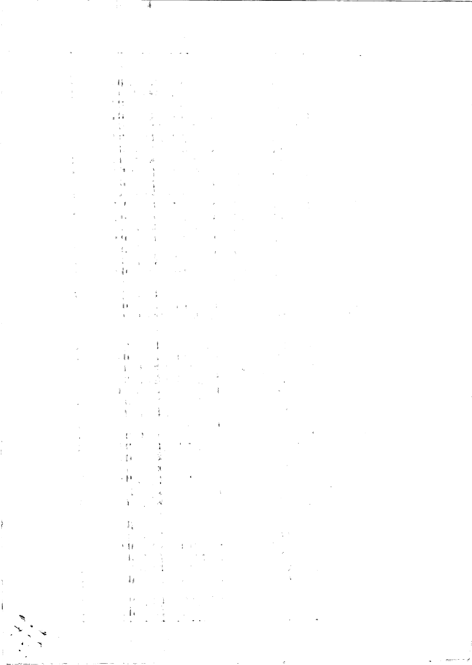$\label{eq:3.1} \mathcal{L}(\mathbf{0},\mathbf{0}) = \mathcal{L}(\mathbf{0},\mathbf{0}) = \mathcal{L}(\mathbf{0},\mathbf{0}) = \mathcal{L}(\mathbf{0},\mathbf{0}) = \mathcal{L}(\mathbf{0},\mathbf{0})$  $\label{eq:2.1} \mathcal{L}(\mathcal{L}^{\mathcal{L}}_{\mathcal{L}}(\mathcal{L}^{\mathcal{L}}_{\mathcal{L}})) \leq \mathcal{L}(\mathcal{L}^{\mathcal{L}}_{\mathcal{L}}(\mathcal{L}^{\mathcal{L}}_{\mathcal{L}})) \leq \mathcal{L}(\mathcal{L}^{\mathcal{L}}_{\mathcal{L}}(\mathcal{L}^{\mathcal{L}}_{\mathcal{L}})) \leq \mathcal{L}(\mathcal{L}^{\mathcal{L}}_{\mathcal{L}}(\mathcal{L}^{\mathcal{L}}_{\mathcal{L}})) \leq \mathcal{L}(\mathcal{L$  $\mathbf{h}$  and  $\mathbf{h}$  $\label{eq:2.1} \frac{1}{\sqrt{2\pi}}\int_{\mathbb{R}^{2}}\left|\frac{d\mu}{d\mu}\right|^{2}d\mu\leq\frac{1}{\sqrt{2\pi}}\int_{\mathbb{R}^{2}}\left|\frac{d\mu}{d\mu}\right|^{2}d\mu\leq\frac{1}{\sqrt{2\pi}}\int_{\mathbb{R}^{2}}\left|\frac{d\mu}{d\mu}\right|^{2}d\mu.$ 1999年1月12日,1999年1月1日,1999年1月1日,1999年1月1日,1999年1月1日,1999年1月1日,1999年1月1日,1999年1月1日,1999年1月1日,1999年1月1日,<br>1999年1月1日,1999年1月1日,1999年1月1日,1999年1月1日,1999年1月1日,1999年1月1日,1999年1月1日,1999年1月1日,1999年1月1日,1999年1月1日,1999年1月1日,1999年1月1  $\begin{aligned} \mathbf{r} &= \mathbf{r} \\ \mathbf{r} &= \mathbf{r} \\ \mathbf{r} &= \mathbf{r} \\ \mathbf{r} &= \mathbf{r} \end{aligned}$  $\sim 10^{-1}$  $\mathcal{L}^{\text{max}}_{\text{max}}$  $\frac{d}{dt} \frac{d}{dt} \frac{d}{dt} \frac{d}{dt} \frac{d}{dt} \frac{d}{dt} \frac{d}{dt} \frac{d}{dt} \frac{d}{dt} \frac{d}{dt} \frac{d}{dt} \frac{d}{dt} \frac{d}{dt} \frac{d}{dt} \frac{d}{dt} \frac{d}{dt} \frac{d}{dt} \frac{d}{dt} \frac{d}{dt} \frac{d}{dt} \frac{d}{dt} \frac{d}{dt} \frac{d}{dt} \frac{d}{dt} \frac{d}{dt} \frac{d}{dt} \frac{d}{dt} \frac{d}{dt} \frac{d}{dt} \frac{d}{dt} \frac{d}{dt} \frac{$  $\mathcal{L}_{\text{max}}$  .  $\mathcal{A}^{\mathcal{A}}$  $\label{eq:2.1} \begin{array}{c} \mathcal{F}_{\text{max}}(\mathbf{r}) = \mathbb{E}[\mathbf{r}^{\text{max}}_{\mathbf{r}}(\mathbf{r})] \\ \mathbf{r}^{\text{max}}_{\mathbf{r}}(\mathbf{r}) = \mathbb{E}[\mathbf{r}^{\text{max}}_{\mathbf{r}}(\mathbf{r})] \end{array}$  $\label{eq:2.1} \frac{1}{\sqrt{2\pi}}\sum_{i=1}^n\frac{1}{\sqrt{2\pi}}\sum_{i=1}^n\frac{1}{\sqrt{2\pi}}\sum_{i=1}^n\frac{1}{\sqrt{2\pi}}\sum_{i=1}^n\frac{1}{\sqrt{2\pi}}\sum_{i=1}^n\frac{1}{\sqrt{2\pi}}\sum_{i=1}^n\frac{1}{\sqrt{2\pi}}\sum_{i=1}^n\frac{1}{\sqrt{2\pi}}\sum_{i=1}^n\frac{1}{\sqrt{2\pi}}\sum_{i=1}^n\frac{1}{\sqrt{2\pi}}\sum_{i=1}^n\$ 

 $\frac{1}{2}$ 

 $\hat{a}^{\dagger}$ 

 $\frac{m}{\pi}$ 

 $\frac{1}{\alpha}$ 

 $\hat{\mathcal{L}}$ 

 $\hat{\theta}$  $\frac{1}{2}$ 

 $\hat{\mathcal{A}}$ 

 $\begin{array}{c} \frac{1}{2} \\ \frac{1}{2} \end{array}$ 

 $\mathfrak{g}$ 

 $\frac{1}{d}\frac{1}{\frac{1}{d}}$ 

 $\mathcal{L}^{\text{max}}_{\text{max}}$ 

紅手術

 $\frac{1}{4}$ 

 $\frac{1}{2}$  ,  $\frac{1}{2}$  $\frac{1}{36}$ 

 $\frac{1}{2}$  ,  $\frac{1}{2}$  $\frac{1}{2} \sum_{i=1}^{n} \frac{1}{2} \sum_{j=1}^{n} \frac{1}{2} \sum_{j=1}^{n} \frac{1}{2} \sum_{j=1}^{n} \frac{1}{2} \sum_{j=1}^{n} \frac{1}{2} \sum_{j=1}^{n} \frac{1}{2} \sum_{j=1}^{n} \frac{1}{2} \sum_{j=1}^{n} \frac{1}{2} \sum_{j=1}^{n} \frac{1}{2} \sum_{j=1}^{n} \frac{1}{2} \sum_{j=1}^{n} \frac{1}{2} \sum_{j=1}^{n} \frac{1}{2} \sum_{j=1}^{n$ 化氯二氯 医牙间  $\label{eq:2.1} \frac{1}{\sqrt{2}}\left(\frac{1}{\sqrt{2}}\right)^{2} \left(\frac{1}{\sqrt{2}}\right)^{2} \left(\frac{1}{\sqrt{2}}\right)^{2} \left(\frac{1}{\sqrt{2}}\right)^{2} \left(\frac{1}{\sqrt{2}}\right)^{2} \left(\frac{1}{\sqrt{2}}\right)^{2} \left(\frac{1}{\sqrt{2}}\right)^{2} \left(\frac{1}{\sqrt{2}}\right)^{2} \left(\frac{1}{\sqrt{2}}\right)^{2} \left(\frac{1}{\sqrt{2}}\right)^{2} \left(\frac{1}{\sqrt{2}}\right)^{2} \left(\$  $\frac{1}{4}$  .  $\mathcal{L}^{\text{max}}_{\text{max}}$  $\leftarrow$  [CH]  $\label{eq:1} \frac{1}{2} \sum_{i=1}^n \frac{1}{2} \sum_{j=1}^n \frac{1}{2} \sum_{j=1}^n \frac{1}{2} \sum_{j=1}^n \frac{1}{2} \sum_{j=1}^n \frac{1}{2} \sum_{j=1}^n \frac{1}{2} \sum_{j=1}^n \frac{1}{2} \sum_{j=1}^n \frac{1}{2} \sum_{j=1}^n \frac{1}{2} \sum_{j=1}^n \frac{1}{2} \sum_{j=1}^n \frac{1}{2} \sum_{j=1}^n \frac{1}{2} \sum_{j=1}^n \frac{1}{$  $\hat{\mathfrak{g}}_{\mu\nu}$  $\label{eq:2.1} \frac{d\mathbf{r}}{d\mathbf{r}} = \frac{1}{\sqrt{2\pi}} \frac{1}{\sqrt{2\pi}} \frac{d\mathbf{r}}{d\mathbf{r}} \, .$  $\sim 3$ 

 $\label{eq:2.1} \begin{split} \mathcal{L}_{\text{max}}(\mathbf{r}) = \frac{1}{2} \mathcal{L}_{\text{max}}(\mathbf{r}) \\ \mathcal{L}_{\text{max}}(\mathbf{r}) = \frac{1}{2} \mathcal{L}_{\text{max}}(\mathbf{r}) \mathcal{L}_{\text{max}}(\mathbf{r}) \\ \mathcal{L}_{\text{max}}(\mathbf{r}) = \frac{1}{2} \mathcal{L}_{\text{max}}(\mathbf{r}) \mathcal{L}_{\text{max}}(\mathbf{r}) \\ \mathcal{L}_{\text{max}}(\mathbf{r}) = \frac{1}{2} \mathcal{L}_{\text{max}}(\mathbf{r}) \$ 

 $\begin{array}{l} \left\{ \begin{array}{ll} \mathbf{A} & \mathbf{A} & \mathbf{A} \\ \mathbf{A} & \mathbf{A} & \mathbf{A} \\ \mathbf{A} & \mathbf{A} & \mathbf{A} \\ \mathbf{A} & \mathbf{A} & \mathbf{A} \\ \mathbf{A} & \mathbf{A} & \mathbf{A} \\ \mathbf{A} & \mathbf{A} & \mathbf{A} \\ \mathbf{A} & \mathbf{A} & \mathbf{A} \\ \mathbf{A} & \mathbf{A} & \mathbf{A} \\ \mathbf{A} & \mathbf{A} & \mathbf{A} \\ \mathbf{A} & \mathbf{A}$  $\mathcal{A}$  $\sim 10^{-11}$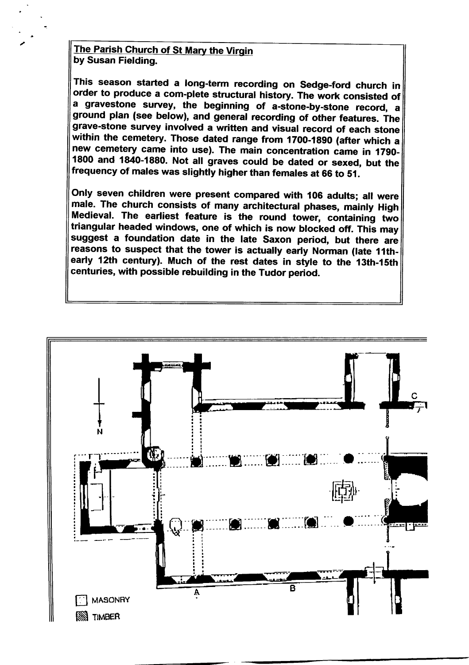The Parish Church of St Mary the Virgin by Susan Fielding.

This season started a long-term recording on Sedge-ford church in order to produce a com-plete structural history. The work consisted of a gravestone survey, the beginning of a-stone-by-stone record, a ground plan (see below), and general recording of other features. The grave-stone survey involved a written and visual record of each stone within the cemetery. Those dated range from 1700-1890 (after which a new cemetery came into use). The main concentration came in 1790-1800 and 1840-1880. Not all graves could be dated or sexed, but the frequency of males was slightly higher than females at 66 to 51.

Only seven children were present compared with 106 adults; all were male. The church consists of many architectural phases, mainly High Medieval. The earliest feature is the round tower, containing two triangular headed windows, one of which is now blocked off. This may suggest a foundation date in the late Saxon period, but there are reasons to suspect that the tower is actually early Norman (late 11thearly 12th century). Much of the rest dates in style to the 13th-15th centuries, with possible rebuilding in the Tudor period.

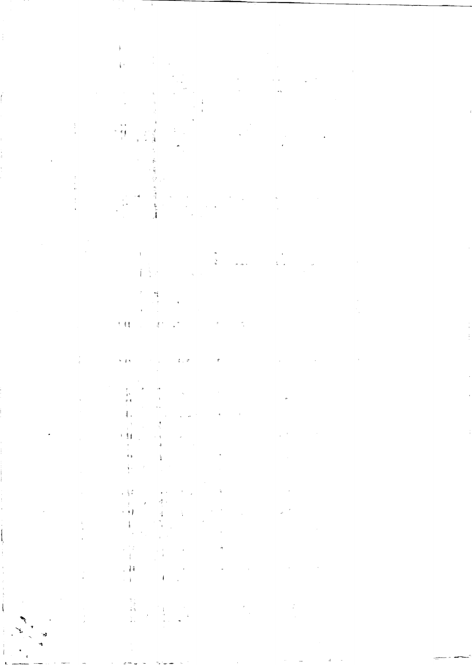**大理的 2000 第2000 第2000 第2000** 

 $\label{eq:3.1} \Psi_{\alpha\beta} = \frac{1}{\alpha} \left( \frac{\partial}{\partial \alpha} \right)^{\alpha\beta} \left( \frac{\partial}{\partial \alpha} \right)^{\beta\beta} \left( \frac{\partial}{\partial \alpha} \right)^{\beta\beta}$ 

には、このことに、「私は私」ということには、最近の「人」と、「人」ということになる。<br>「このこと」ということには、「人」ということには、「人」ということになる。<br>「人」ということには、「人」ということには、「人」ということになる。

 $\label{eq:3.1} \frac{1}{4}\left(\frac{1}{\mu}\right)^{2} = \frac{1}{4}\left(\frac{1}{\mu}\right)^{2} = \frac{1}{4}\left(\frac{1}{\mu}\right)^{2}$ 

 $\label{eq:2.1} \begin{split} \frac{1}{\sqrt{2}}\frac{1}{\sqrt{2}}\left(\frac{1}{\sqrt{2}}\right) & =\frac{1}{2}\left(\frac{1}{\sqrt{2}}\right) \frac{1}{\sqrt{2}}\left(\frac{1}{\sqrt{2}}\right) & =\frac{1}{2}\left(\frac{1}{\sqrt{2}}\right) \frac{1}{\sqrt{2}}\left(\frac{1}{\sqrt{2}}\right) & =\frac{1}{2}\left(\frac{1}{\sqrt{2}}\right) \frac{1}{\sqrt{2}}\left(\frac{1}{\sqrt{2}}\right) & =\frac{1}{2}\left(\frac{1}{\sqrt{2}}\right) \frac{1$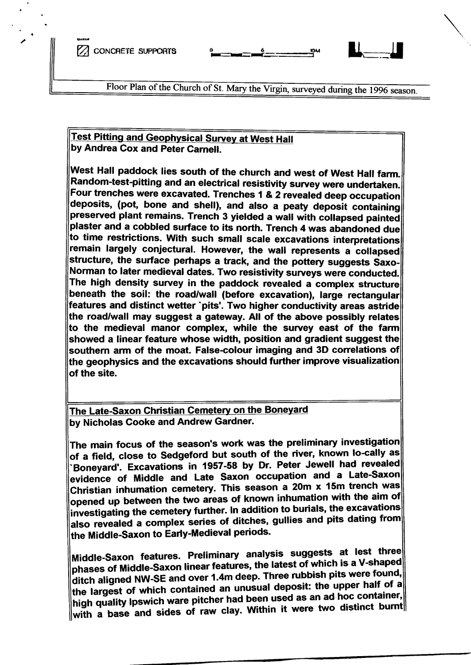/'

• ~



Floor Plan of the Church of St. Mary the Virgin, surveyed during the 1996 season.

## Test Pitting and Geophysical Survey at West Hall by Andrea Cox and Peter Carnell.

West Hall paddock lies south of the church and west of West Hall farm. Random-test-pitting and an electrical resistivity survey were undertaken. Four trenches were excavated. Trenches 1 & 2 revealed deep occupation deposits, (pot, bone and shell), and also a peaty deposit containing preserved plant remains. Trench 3 yielded a wall with collapsed painted plaster and a cobbled surface to its north. Trench 4 was abandoned due to time restrictions. With such small scale excavations interpretations remain largely conjectural. However, the wall represents a collapsed structure, the surface perhaps a track, and the pottery suggests Saxo-Norman to later medieval dates. Two resistivity surveys were conducted. The high density survey in the paddock revealed a complex structure beneath the soil: the road/wall (before excavation), large rectangular features and distinct wetter 'pits'. Two higher conductivity areas astride the road/wall may suggest a gateway. All of the above possibly relates to the medieval manor complex, while the survey east of the farm showed a linear feature whose width, position and gradient suggest the southern arm of the moat. False-colour imaging and 3D correlations of the geophysics and the excavations should further improve visualization of the site.

The Late-Saxon Christian Cemetery on the Boneyard by Nicholas Cooke and Andrew Gardner.

The main focus of the season's work was the preliminary investigation of a field, close to Sedgeford but south of the river, known lo-cally as 'Boneyard'. Excavations in 1957-58 by Dr. Peter Jewell had revealed evidence of Middle and Late Saxon occupation and a Late-5axon Christian inhumation cemetery. This season a 20m x 15m trench was opened up between the two areas of known inhumation with the aim of  $\left| \right|$ investigating the cemetery further. In addition to burials, the excavations $\left| \right|$ also revealed a complex series of ditches, gullies and pits dating from the Middle-Saxon to Early-Medieval periods.

Middle-Saxon features. Preliminary analysis suggests at lest three  $|$ phases of Middle-Saxon linear features, the latest of which is a V-shaped ditch aligned NW-SE and over 1.4m deep. Three rubbish pits were found, the largest of which contained an unusual deposit: the upper half of a  $|$ high quality Ipswich ware pitcher had been used as an ad hoc container, $|$ with a base and sides of raw clay. Within it were two distinct burnt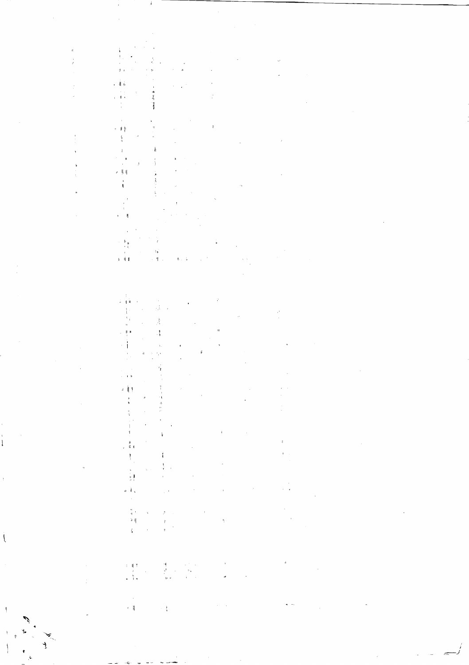$\frac{1}{4}$ 

 $\mathfrak{g}$ 

 $\frac{1}{2} \sum_{i=1}^{n} \frac{1}{2} \sum_{j=1}^{n} \frac{1}{2} \sum_{j=1}^{n} \frac{1}{2} \sum_{j=1}^{n} \frac{1}{2} \sum_{j=1}^{n} \frac{1}{2} \sum_{j=1}^{n} \frac{1}{2} \sum_{j=1}^{n} \frac{1}{2} \sum_{j=1}^{n} \frac{1}{2} \sum_{j=1}^{n} \frac{1}{2} \sum_{j=1}^{n} \frac{1}{2} \sum_{j=1}^{n} \frac{1}{2} \sum_{j=1}^{n} \frac{1}{2} \sum_{j=1}^{n$  $\alpha = 0.1$ 

 $\frac{d}{dt} = \frac{1}{2} \left[ \frac{d}{dt} \right] \frac{d}{dt}$ 

 $\frac{1}{2}$  .

 $\mathbf{v}$ 

 $\begin{array}{l} \left( \begin{array}{c} 0.1 \\ 0.1 \end{array} \right)_{\alpha \in \mathbb{R}^3} \\ \left( \begin{array}{c} 0.1 \\ 0.1 \end{array} \right)_{\alpha \in \mathbb{R}^3} \end{array}$ 

 $\begin{aligned} \frac{\partial \Psi}{\partial t} & = \frac{1}{2} \left( \frac{1}{2} \sum_{i=1}^{n} \frac{1}{2} \left( \frac{1}{2} \sum_{i=1}^{n} \frac{1}{2} \left( \frac{1}{2} \sum_{i=1}^{n} \frac{1}{2} \left( \frac{1}{2} \sum_{i=1}^{n} \frac{1}{2} \left( \frac{1}{2} \sum_{i=1}^{n} \frac{1}{2} \right) \right) \right) - \frac{1}{2} \left( \sum_{i=1}^{n} \frac{1}{2} \sum_{i=1}^{n} \frac{1}{2} \left( \frac{$ 

 $\label{eq:2.1} \frac{1}{\sqrt{2\pi}}\int_{\mathbb{R}^3}\frac{1}{\sqrt{2\pi}}\int_{\mathbb{R}^3}\frac{1}{\sqrt{2\pi}}\int_{\mathbb{R}^3}\frac{1}{\sqrt{2\pi}}\int_{\mathbb{R}^3}\frac{1}{\sqrt{2\pi}}\int_{\mathbb{R}^3}\frac{1}{\sqrt{2\pi}}\int_{\mathbb{R}^3}\frac{1}{\sqrt{2\pi}}\int_{\mathbb{R}^3}\frac{1}{\sqrt{2\pi}}\int_{\mathbb{R}^3}\frac{1}{\sqrt{2\pi}}\int_{\mathbb{R}^3}\frac{1$ 。<br>1944年10月10日 - 1944年10月1日 - 1945年10月1日 - 1945年10月1日 - 1945年10月1日 - 1945年10月1日 - 1945年10月1日 - 1945年10月

 $\hat{\mathcal{L}}$ 

 $\sim 10$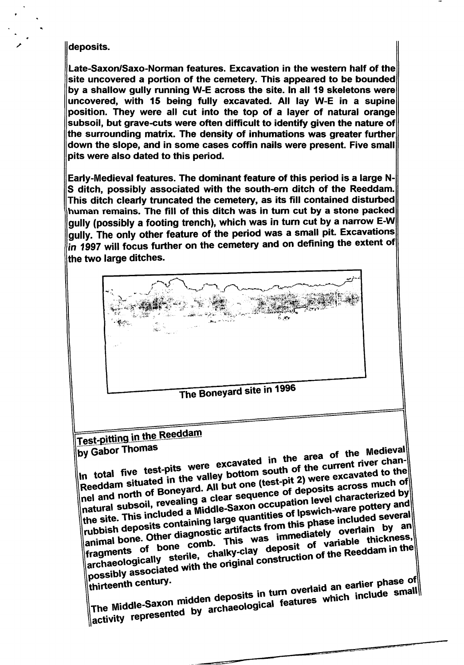#### **deposits.**

/'

~

**Late-Saxon/Saxo-Norman features. Excavation in the western half of the site uncovered a portion of the cemetery. This appeared to be bounded by a shallow gully running W-E across the site. In all 19 skeletons were uncovered, with 15 being fully excavated. All lay W-E in a supine position. They were all cut into the top of a layer of natural orange subsoil, but grave-cuts were often difficult to identify given the nature of the surrounding matrix. The density of inhumations was greater further down the slope, and in some cases coffin nails were present. Five small pits were also dated to this period.**

**Early-Medieval features. The dominant feature of this period is a large N-S ditch, possibly associated with the south-ern ditch of the Reeddam. This ditch clearly truncated the cemetery, as its fill contained disturbed human remains. The fill of this ditch was in tum cut by a stone packed gully (possibly a footing trench), which was in tum cut by a narrow E-W gully. The only other feature of the period was a small pit. Excavations in 1997 will focus further on the cemetery and on defining the extent of the two large ditches.**



# **Test-pitting in the Reeddam by Gabor Thomas**

 $I_{\text{right}}$  five were excavated in the arca current river chan-In total five test-pits were bottom south of the current right to the Reeddam situated in the valley bottom south of the current river channel and north of Boneyard. All but one (test-pit 2) were excavated to the natural subsoil, revealing a clear sequence of deposits across much of<br>the site. This included a Middle-Saxon occupation level characterized by<br>rubbish deposits containing large quantities of lpswich-ware pottery and<br>anima the site. This included a Middle-Saxon occupation level characterized by rubbish deposits containing large quantities of Ipswich-ware pottery and  $f_{\text{animal}}$  bone. Other diagnostic This was immediately studies thickness,  $\frac{1}{2}$  fragments of police community-clay deposit of variable Reeddam in the possibly associated with the original construction of variable thickness, archaeologically sterile, chalky-clay deposit of variable thickness, **thirteenth century.**  $\mathbf{H}$  and  $\mathbf{S}$  and  $\mathbf{S}$ xon  $m_{\rm{atom}}$  deposits in turn overlaid and include small The Middle-Saxon million of the conditional features which is a matter of the small small include small include s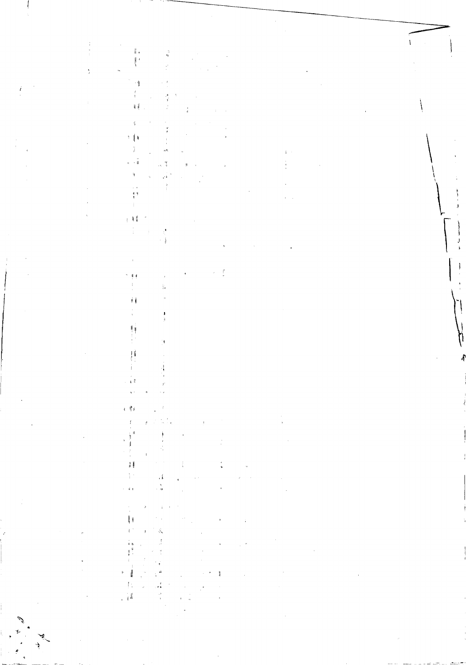

 $\mathcal{A}=\mathcal{A}^{\mathrm{int}}$  and  $\mathcal{A}^{\dagger}$  $\pi \rightarrow \tilde{\mathfrak{g}}$ 

 $\left\|\mathbf{F}\right\|$  , we have  $\left\|\mathbf{F}\right\|$  $\frac{1}{4}$  $\sim 10$  $\frac{4}{\sqrt{2}}$  $\label{eq:psi} \psi_{\alpha\beta} = \frac{1}{\sqrt{2}}\frac{d\beta}{\beta} \quad \mbox{and} \quad \beta = \frac{1}{\sqrt{2}}\frac{d\beta}{\beta} \,.$  $\begin{array}{c} 4 \\ 4 \end{array}$  $\mathcal{V}_\mathrm{c}$  $\mathbb{E}[\hat{\mathbf{M}}_{\text{eff}}^{\text{H}}] \triangleq \mathbb{E}[\hat{\mathbf{M}}_{\text{eff}}^{\text{H}}] \triangleq \mathbb{E}[\hat{\mathbf{M}}_{\text{eff}}^{\text{H}}] \triangleq \mathbb{E}[\hat{\mathbf{M}}_{\text{eff}}^{\text{H}}]$  $A\rightarrow A$  .  $\mathbb{R}^{\bullet}$ 

 $\sim \frac{4}{3}$  $\omega=\frac{1}{\nu}$  $\alpha$  and  $\alpha$ s<br>Filipi  $\mathcal{L}_{\mathcal{A}}$  $\frac{1}{2}$  $\tilde{\mathbb{S}}$ ÎÌ.

 $\mathbb{I}$  i  $\frac{1}{4}$  :  $\bar{1}$ ŢÎ. ÷.

 $\frac{2}{\ln \frac{3}{2}}$  $\tilde{\mathbf{q}}^{(n)}$ 计事件 a sa katika<br>Manazarta ya Kasance ya Kasance ya Kasance ya Kasance ya Kasance ya Kasance ya Kasance ya Kasance ya Kasance y  $\frac{d}{dt}$  .  $\sim 40$  $\mathcal{O}(\mathcal{O}_\mathcal{O})$  $\frac{1}{2}$ 

 $\hat{\mathcal{L}}$  and  $\hat{\mathcal{L}}$  $\hat{\boldsymbol{\theta}}$  $\mathfrak{p}^{\pm}$  ,  $\mathfrak{p}^{\pm}$  ,  $\mathfrak{p}^{\pm}$  ,  $\mathfrak{p}^{\pm}$  $\frac{1}{2}$  ,  $\frac{1}{2}$  $\label{eq:2.1} \frac{1}{\sqrt{2\pi}}\frac{1}{\sqrt{2\pi}}\frac{1}{\sqrt{2\pi}}\frac{1}{\sqrt{2\pi}}\frac{1}{\sqrt{2\pi}}\frac{1}{\sqrt{2\pi}}\frac{1}{\sqrt{2\pi}}\frac{1}{\sqrt{2\pi}}\frac{1}{\sqrt{2\pi}}\frac{1}{\sqrt{2\pi}}\frac{1}{\sqrt{2\pi}}\frac{1}{\sqrt{2\pi}}\frac{1}{\sqrt{2\pi}}\frac{1}{\sqrt{2\pi}}\frac{1}{\sqrt{2\pi}}\frac{1}{\sqrt{2\pi}}\frac{1}{\sqrt{2\pi}}\frac{1}{\sqrt$  $\left\Vert \cdot\right\Vert _{1}$  , where  $\left\Vert \cdot\right\Vert _{1}$  $\mu$  .  $\sim 1$ 

 $A^{(m)}_{\alpha\beta} = A^{(m)}_{\alpha\beta}$  ,  $\delta_{\mathbf{w}_{\alpha}}$  $\mathcal{A}^{\mathcal{A}}$ 1.<br>不要求<br>非常  $\frac{1}{2}$  $\hat{\mathcal{E}}$  $\bar{a}$  $\frac{1}{2}$  $\mathcal{A} \subset \mathcal{B} \subset \mathcal{B}$  $\sim$   $\sim$  $\sim 10^6$ 言語  $\alpha$  .

 $\label{eq:2.1} \frac{\partial \theta}{\partial t} = \frac{1}{\sqrt{2\pi}} \left( \frac{1}{\sqrt{2\pi}} \right) \left( \frac{1}{\sqrt{2\pi}} \right)$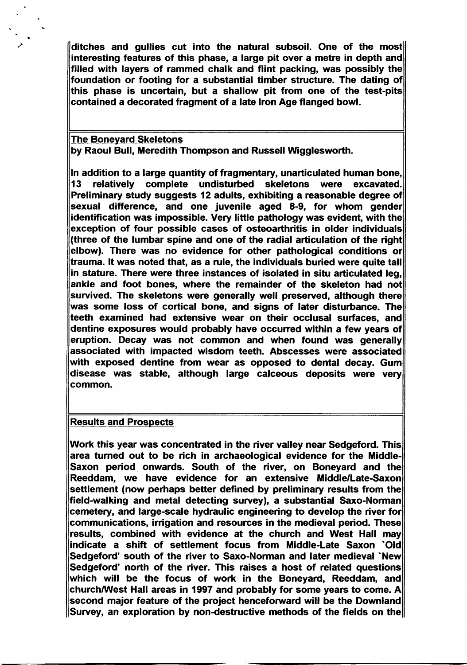$\parallel$ ditches and gullies cut into the natural subsoil. One of the most $\parallel$ interesting features of this phase, a large pit over a metre in depth and filled with layers of rammed chalk and flint packing, was possibly the foundation or footing for a substantial timber structure. The dating of this phase is uncertain, but a shallow pit from one of the test-pits contained a decorated fragment of a late Iron Age flanged bowl.

### The Boneyard Skeletons

? • ..

by Raoul Bull, Meredith Thompson and Russell Wigglesworth.

In addition to a large quantity of fragmentary, unarticulated human bone, 13 relatively complete undisturbed skeletons were excavated. Preliminary study suggests 12 adults, exhibiting a reasonable degree of sexual difference, and one juvenile aged 8-9, for whom gender identification was impossible. Very little pathology was evident, with the exception of four possible cases of osteoarthritis in older individuals (three of the lumbar spine and one of the radial articulation of the right elbow). There was no evidence for other pathological conditions or trauma. It was noted that, as a rule, the individuals buried were quite tall in stature. There were three instances of isolated in situ articulated leg, ankle and foot bones, where the remainder of the skeleton had not survived. The skeletons were generally well preserved, although there was some loss of cortical bone, and signs of later disturbance. The teeth examined had extensive wear on their occlusal surfaces, and dentine exposures would probably have occurred within a few years of eruption. Decay was not common and when found was generally associated with impacted wisdom teeth. Abscesses were associated with exposed dentine from wear as opposed to dental decay. Gum disease was stable, although large calceous deposits were very common.

### Results and Prospects

Work this year was concentrated in the river valley near Sedgeford. This area turned out to be rich in archaeological evidence for the Middle-Saxon period onwards. South of the river, on Boneyard and the Reeddam, we have evidence for an extensive Middle/Late-Saxon settlement (now perhaps better defined by preliminary results from the field-walking and metal detecting survey), a substantial Saxo-Norman cemetery, and large-scale hydraulic engineering to develop the river for communications, irrigation and resources in the medieval period. These results, combined with evidence at the church and West Hall may indicate a shift of settlement focus from Middle-Late Saxon 'Old Sedgeford' south of the river to Saxo-Norman and later medieval 'New Sedgeford' north of the river. This raises a host of related questions which will be the focus of work in the Boneyard, Reeddam, and church/West Hall areas in 1997 and probably for some years to come. A second major feature of the project henceforward will be the Downland Survey, an exploration by non-destructive methods of the fields on the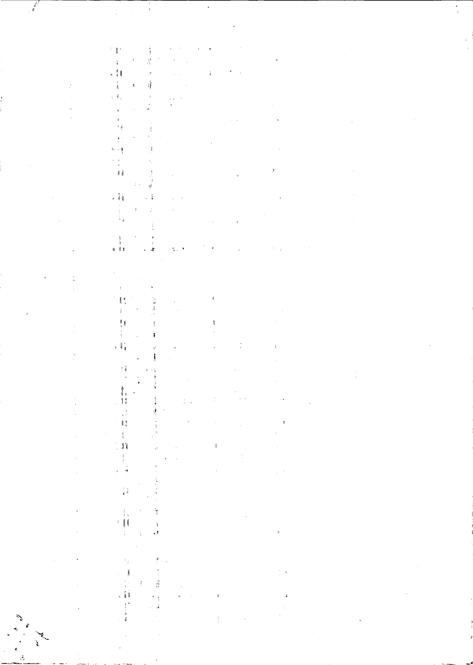$\label{eq:2.1} \begin{array}{c} \mathbf{1}_{\mathbf{1}_{\mathbf{1}}} \left( \mathbf{1}_{\mathbf{1}_{\mathbf{1}}} \right) = \mathbf{1}_{\mathbf{1}_{\mathbf{1}}} \left( \mathbf{1}_{\mathbf{1}_{\mathbf{1}}} \right) = \mathbf{1}_{\mathbf{1}_{\mathbf{1}}} \left( \mathbf{1}_{\mathbf{1}_{\mathbf{1}}} \right) = \mathbf{1}_{\mathbf{1}_{\mathbf{1}}} \left( \mathbf{1}_{\mathbf{1}_{\mathbf{1}}} \right) = \mathbf{1}_{\mathbf{1}_{\mathbf{1}}} \left( \mathbf{1}_{\mathbf{1$  $\begin{array}{lllllllllll} \mathbf{A} & \mathbf{B} & \mathbf{B} & \mathbf{B} & \mathbf{B} & \mathbf{B} & \mathbf{B} & \mathbf{B} & \mathbf{B} & \mathbf{B} & \mathbf{B} & \mathbf{B} & \mathbf{B} & \mathbf{B} & \mathbf{B} & \mathbf{B} & \mathbf{B} & \mathbf{B} & \mathbf{B} & \mathbf{B} & \mathbf{B} & \mathbf{B} & \mathbf{B} & \mathbf{B} & \mathbf{B} & \mathbf{B} & \mathbf{B} & \mathbf{B} & \mathbf{B} & \mathbf{B$  $\frac{1}{4}$  and  $\frac{1}{4}$  are  $\frac{1}{4}$ ý.  $\bar{\tau}$  $\langle \hat{u}^{\dagger} \hat{u}^{\dagger} \rangle$  $\sim 10$  $\label{eq:1} \frac{d\mathbf{v} - \mathbf{p}}{d\mathbf{p}} = \frac{1}{\sqrt{2\pi}} \mathbf{e}^{-\frac{1}{2}\mathbf{p}}$  $\sim \kappa$  $\sim 4$  .  $\label{eq:4} \begin{array}{lllllllllllllllllllll} \bullet & \frac{1}{4} \frac{1}{4} \frac{1}{4} \left( \begin{array}{cc} 1 & 0 & 0 \\ 0 & 0 & 0 \\ 0 & 0 & 0 \end{array} \right) & \frac{1}{4} \left( \begin{array}{cc} 1 & 0 & 0 \\ 0 & 0 & 0 \\ 0 & 0 & 0 \end{array} \right) & \frac{1}{4} \left( \begin{array}{cc} 1 & 0 & 0 \\ 0 & 0 & 0 \\ 0 & 0 & 0 \end{array} \right) & \frac{1}{4} \left( \begin{array}{cc} 1 & 0 &$  $\frac{1}{2}$  ,  $\frac{1}{2}$  $\label{eq:2.1} \frac{1}{\sqrt{2\pi}}\int_{0}^{\sqrt{2\pi}}\frac{1}{\sqrt{2\pi}}\left(\frac{1}{\sqrt{2\pi}}\right)^{2\pi}e^{-\frac{1}{2\sqrt{2\pi}}}\frac{1}{\sqrt{2\pi}}\int_{0}^{\sqrt{2\pi}}\frac{1}{\sqrt{2\pi}}\frac{e^{-\frac{1}{2\sqrt{2\pi}}}}{\sqrt{2\pi}}\frac{e^{-\frac{1}{2\sqrt{2\pi}}}}{\sqrt{2\pi}}\frac{e^{-\frac{1}{2\sqrt{2\pi}}}}{\sqrt{2\pi}}\frac{e^{-\frac{1}{2\sqrt{2\pi}}}}{\sqrt{$  $\sim$ の後には、1998年<br>- 第10回 - 1997年 - 1998年 - 1998年 - 1999年<br>東朝鮮 - 2009年 - 1999年 - 1999年 - 1999年  $\mathcal{L}^{\text{max}}_{\text{max}}$  $\frac{1}{2}$  .  $\frac{1}{4\pi}$  $\widetilde{\mathfrak{g}}$  .  $\vec{r}$  $\label{eq:2.1} \frac{1}{\left(1-\frac{1}{2}\right)}\left(\frac{1}{2}\right)$  $\mathbb{R}^n$  $\vec{a}$  $\hat{\mathcal{F}}$  $\sim 3$  .  $-\frac{1}{2}$  )  $\frac{1}{2}$  $\frac{9}{4}$  $\frac{3}{2}$  $\frac{1}{4}$  .  $\mathcal{L}_{\mathcal{A}}$  $\mathbf{\hat{J}}$  $\sim$   $\omega$  $\mathbb{C} \backslash \mathbb{C}$  $\frac{1}{\sqrt{2}}\left(\frac{1}{\sqrt{2}}\right)$  $\hat{q}^{(1)}$  ,  $\hat{q}^{(2)}$  $\mathcal{L}_{\mathbf{a}}$  $\int_{0}^{\infty} \frac{1}{\sqrt{2\pi}} \, \mathrm{d}x \, \mathrm{d}x = \int_{0}^{\infty} \frac{1}{\sqrt{2\pi}} \, \mathrm{d}x \, \mathrm{d}x$  $\frac{9}{\epsilon}$  $\frac{1}{2}$  $\Lambda_{\rm{max}}$  $\hat{\boldsymbol{\epsilon}}$  $\label{eq:2} \frac{1}{\sqrt{2}}\left(\frac{1}{\sqrt{2}}\right)^{2} \frac{1}{\sqrt{2}}\left(\frac{1}{\sqrt{2}}\right)^{2}$  $\sim 2\%$  $\pm$ 11  $\frac{\theta}{\sqrt{2}}$  $\mathcal{A}^{\mathcal{A}}_{\mathcal{A}}$  and  $\frac{1}{2}$  $\sim$  $\hat{\boldsymbol{\beta}}$  $\mathbb{R}^{\frac{1}{2}}$  $\hat{\alpha}_i$  $\sim 4^\circ$  $\frac{1}{2}$  .  $\begin{aligned} \mathbf{A}^{\text{in}}_{\text{in}} & = \frac{1}{2} \mathbf{1}_{\text{out}} \\ \mathbf{A}^{\text{in}}_{\text{out}} & = \frac{1}{2} \mathbf{1}_{\text{out}} \\ \mathbf{A}^{\text{in}}_{\text{out}} & = \frac{1}{2} \mathbf{1}_{\text{out}} \\ \mathbf{A}^{\text{in}}_{\text{out}} & = \frac{1}{2} \mathbf{1}_{\text{out}} \\ \mathbf{A}^{\text{in}}_{\text{out}} & = \frac{1}{2} \mathbf{1}_{\text{out}} \\ \mathbf{A}^{\text{in}}_{\text{out}} & =$  $\frac{1}{2}$  $\frac{1}{2}$  ,  $\frac{1}{2}$  $\sim 10^7$  $\frac{1}{\sqrt{2}}$  $\frac{1}{4} \frac{1}{4}$  $\frac{1}{4}$  $\epsilon$  $\frac{1}{2}$  .  $\epsilon$  $\mathcal{L}^{\text{max}}_{\text{max}}$  and  $\mathcal{L}^{\text{max}}_{\text{max}}$  $\frac{1}{3}$  .  $\mathbb{E}[\cdot]$  $\hat{\mathcal{A}}$  $\mathcal{A}=\mathcal{A}$  .  $\rightarrow$   $\Gamma$  $\mathcal{L}^{\text{max}}_{\text{max}}$  $\sim \Omega_{\Delta}$  , where  $\sim$  $\beta_{\rm c}^{\rm E}$  ,  $_{\rm c}$  $\mathbb{R}^n$  . If  $\mathbb{R}^n \times \mathbb{R}^n \times \mathbb{R}^n$  $\frac{1}{\sqrt{2}}\mathcal{L}_{\text{eff}}$  $\mathcal{F} = \mathcal{F}$ Ŷ,  $\sim 10$  $\sim 9$  $\phi^{\pm} = - \phi$  $\begin{array}{c} \begin{array}{c} \mathbb{R}^{3} \\ \mathbb{R} \\ \mathbb{R} \\ \mathbb{R} \end{array} \\ \begin{array}{c} \mathbb{R} \\ \mathbb{R} \end{array} \\ \begin{array}{c} \mathbb{R} \\ \mathbb{R} \end{array} \end{array}$  $\mathcal{A}^{(n)}$  and  $\mathcal{A}^{(n)}$  $\frac{1}{4}$ 

 $\alpha_{\rm{max}}=1$ 

Ĵ.

医骨折 人名英格兰人姓氏克里斯取自父名

 $\frac{1}{2}$  .

 $\mathfrak h$  $\alpha_{\rm{max}}$  and  $\alpha_{\rm{max}}$  $\sim 10^{11}$  km s  $^{-1}$  $\mathcal{L}^{\text{max}}_{\text{max}}$  and  $\mathcal{L}^{\text{max}}_{\text{max}}$  $\pm$  $\hat{\mathcal{A}}$  $\tau_{\rm h}$ l.  $\mathcal{A}$  $\hat{\mathcal{A}}$  $\frac{1}{2}$  ,  $\frac{1}{2}$  $\hat{\mathcal{P}}$  $\frac{1}{2}$  ) a

 $\int_{\mathbb{R}^n}$ 

 $\mathcal{A}^{\mathcal{A}}$ 

 $\label{eq:2.1} \left\langle \hat{H}_{\mu\nu} \right\rangle = \left\langle \hat{H}_{\mu\nu} \right\rangle = \left\langle \hat{H}_{\mu\nu} \right\rangle = \left\langle \hat{H}_{\mu\nu} \right\rangle = \left\langle \hat{H}_{\mu\nu} \right\rangle = \left\langle \hat{H}_{\mu\nu} \right\rangle$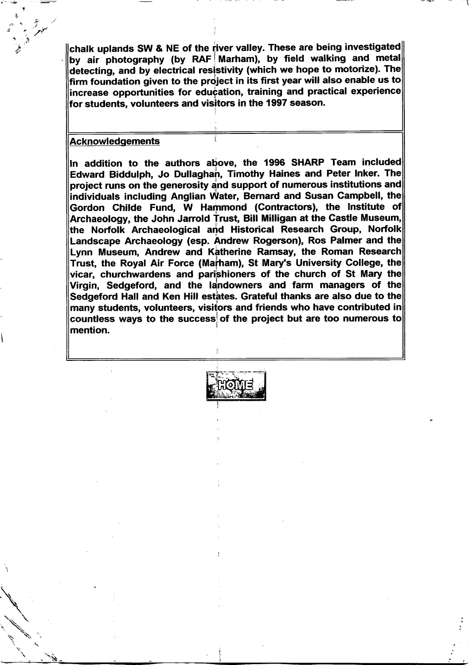$|$ chalk uplands SW & NE of the river valley. These are being investigated $\|$ by air photography (by RAF Marham), by field walking and metal detecting, and by electrical resistivity (which we hope to motorize). The firm foundation given to the project in its first year will also enable us to increase opportunities for education, training and practical experience for students, volunteers and visitors in the 1997 season.

.....,.~>": -' 'I

 $\frac{1}{1}$ I

1

#### Acknowledgements

,. ......-. ~ ;~.,} "I '7' *j'*  $\frac{1}{2}$ ,  $\frac{1}{2}$  $^{\prime\prime}$  ,  $\cdot$  .  $\cdot$ *t*

\~' ~ ~ ~ '", .",  $\cdot$   $\cdot$   $\cdot$   $\cdot$   $\cdot$   $\cdot$ "  $\frac{\mathscr{L}}{\mathscr{L}}$  .

In addition to the authors above, the 1996 SHARP Team included Edward Biddulph, Jo Dullaghah, Timothy Haines and Peter Inker. The project runs on the generosity and support of numerous institutions and individuals including Anglian Water, Bernard and Susan Campbell, the Gordon Childe Fund, W Hammond (Contractors), the Institute of Archaeology, the John Jarrold Trust, Bill Milligan at the Castle Museum, the Norfolk Archaeological and Historical Research Group, Norfolk Landscape Archaeology (esp. Andrew Rogerson), Ros Palmer and the Lynn Museum, Andrew and Katherine Ramsay, the Roman Research Trust, the Royal Air Force (Marham), St Mary's University College, the vicar, churchwardens and parishioners of the church of St Mary the Virgin, Sedgeford, and the landowners and farm managers of the Sedgeford Hall and Ken Hill estates. Grateful thanks are also due to the many students, volunteers, visitors and friends who have contributed in countless ways to the success of the project but are too numerous to mention.